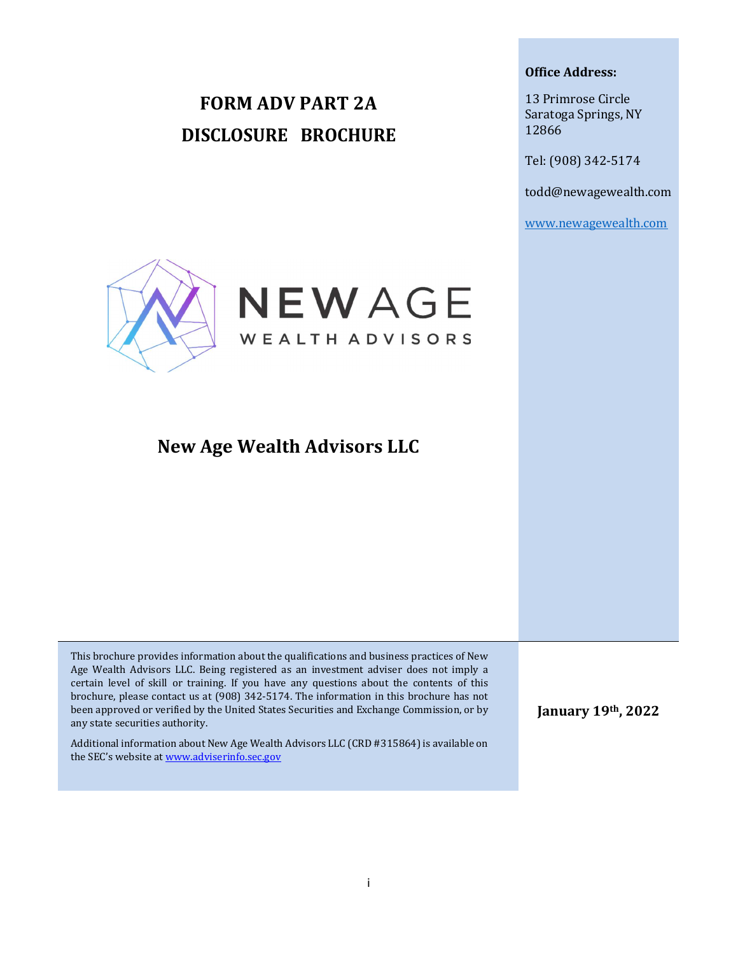# FORM ADV PART 2A DISCLOSURE BROCHURE

#### Office Address:

13 Primrose Circle Saratoga Springs, NY 12866

Tel: (908) 342-5174

todd@newagewealth.com

www.newagewealth.com



## New Age Wealth Advisors LLC

This brochure provides information about the qualifications and business practices of New Age Wealth Advisors LLC. Being registered as an investment adviser does not imply a certain level of skill or training. If you have any questions about the contents of this brochure, please contact us at (908) 342-5174. The information in this brochure has not been approved or verified by the United States Securities and Exchange Commission, or by any state securities authority.

Additional information about New Age Wealth Advisors LLC (CRD #315864) is available on the SEC's website at www.adviserinfo.sec.gov

January 19th, 2022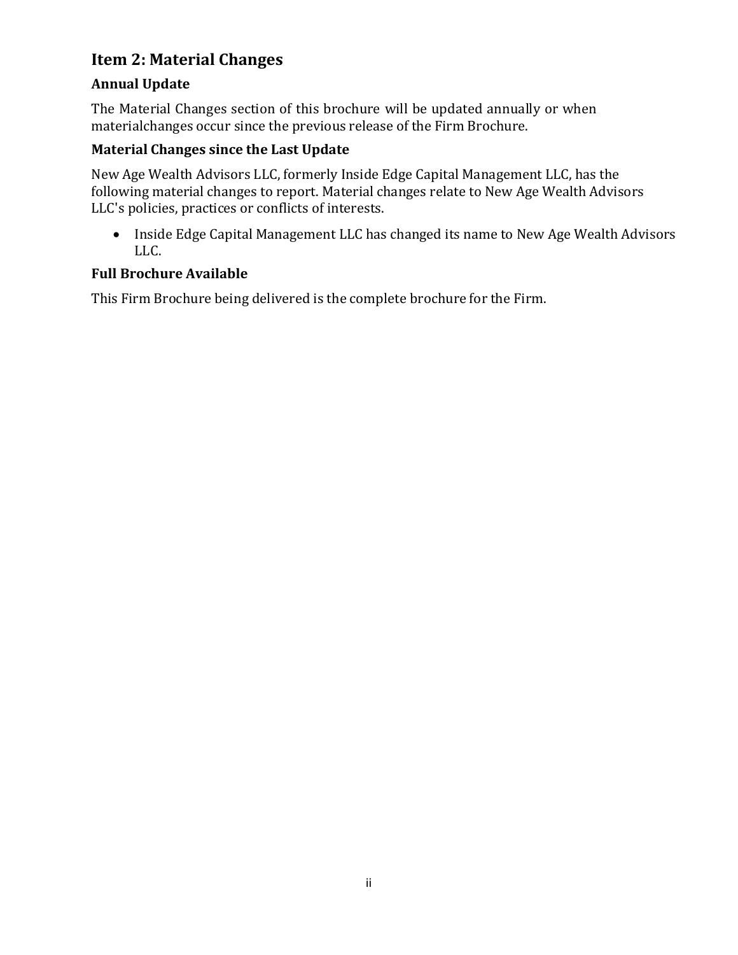## Item 2: Material Changes

### Annual Update

The Material Changes section of this brochure will be updated annually or when material changes occur since the previous release of the Firm Brochure.

### Material Changes since the Last Update

New Age Wealth Advisors LLC, formerly Inside Edge Capital Management LLC, has the following material changes to report. Material changes relate to New Age Wealth Advisors LLC's policies, practices or conflicts of interests.

• Inside Edge Capital Management LLC has changed its name to New Age Wealth Advisors LLC.

#### Full Brochure Available

This Firm Brochure being delivered is the complete brochure for the Firm.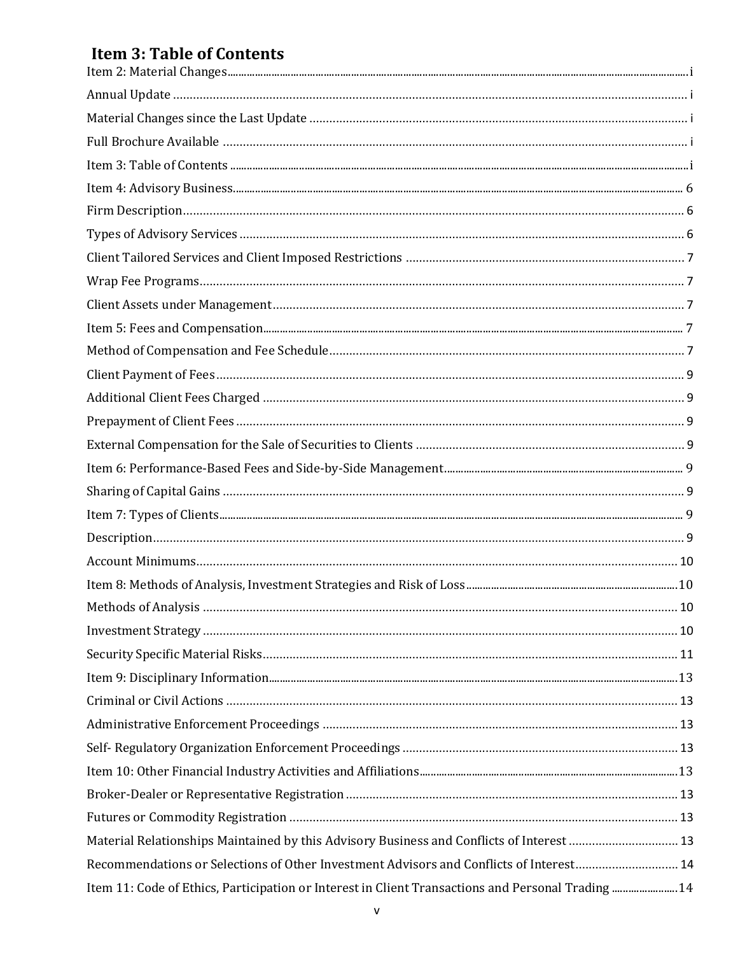## **Item 3: Table of Contents**

| Material Relationships Maintained by this Advisory Business and Conflicts of Interest 13           |  |
|----------------------------------------------------------------------------------------------------|--|
| Recommendations or Selections of Other Investment Advisors and Conflicts of Interest 14            |  |
| Item 11: Code of Ethics, Participation or Interest in Client Transactions and Personal Trading  14 |  |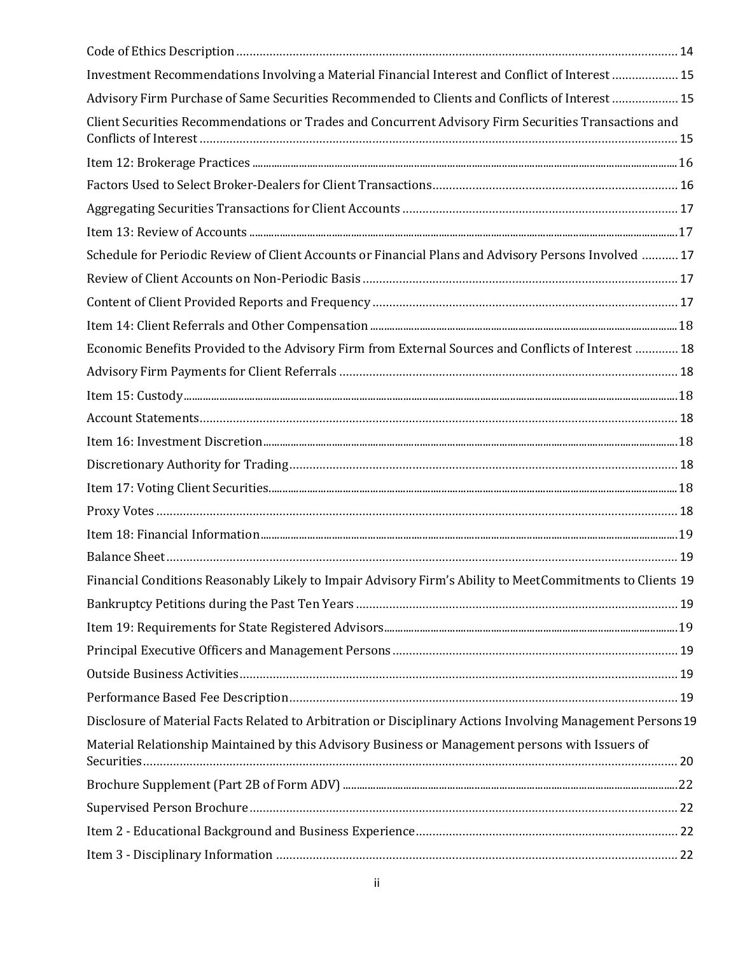| Investment Recommendations Involving a Material Financial Interest and Conflict of Interest  15            |  |
|------------------------------------------------------------------------------------------------------------|--|
| Advisory Firm Purchase of Same Securities Recommended to Clients and Conflicts of Interest 15              |  |
| Client Securities Recommendations or Trades and Concurrent Advisory Firm Securities Transactions and       |  |
|                                                                                                            |  |
|                                                                                                            |  |
|                                                                                                            |  |
|                                                                                                            |  |
| Schedule for Periodic Review of Client Accounts or Financial Plans and Advisory Persons Involved  17       |  |
|                                                                                                            |  |
|                                                                                                            |  |
|                                                                                                            |  |
| Economic Benefits Provided to the Advisory Firm from External Sources and Conflicts of Interest  18        |  |
|                                                                                                            |  |
|                                                                                                            |  |
|                                                                                                            |  |
|                                                                                                            |  |
|                                                                                                            |  |
|                                                                                                            |  |
|                                                                                                            |  |
|                                                                                                            |  |
|                                                                                                            |  |
| Financial Conditions Reasonably Likely to Impair Advisory Firm's Ability to MeetCommitments to Clients 19  |  |
|                                                                                                            |  |
|                                                                                                            |  |
|                                                                                                            |  |
|                                                                                                            |  |
|                                                                                                            |  |
| Disclosure of Material Facts Related to Arbitration or Disciplinary Actions Involving Management Persons19 |  |
| Material Relationship Maintained by this Advisory Business or Management persons with Issuers of           |  |
|                                                                                                            |  |
|                                                                                                            |  |
|                                                                                                            |  |
|                                                                                                            |  |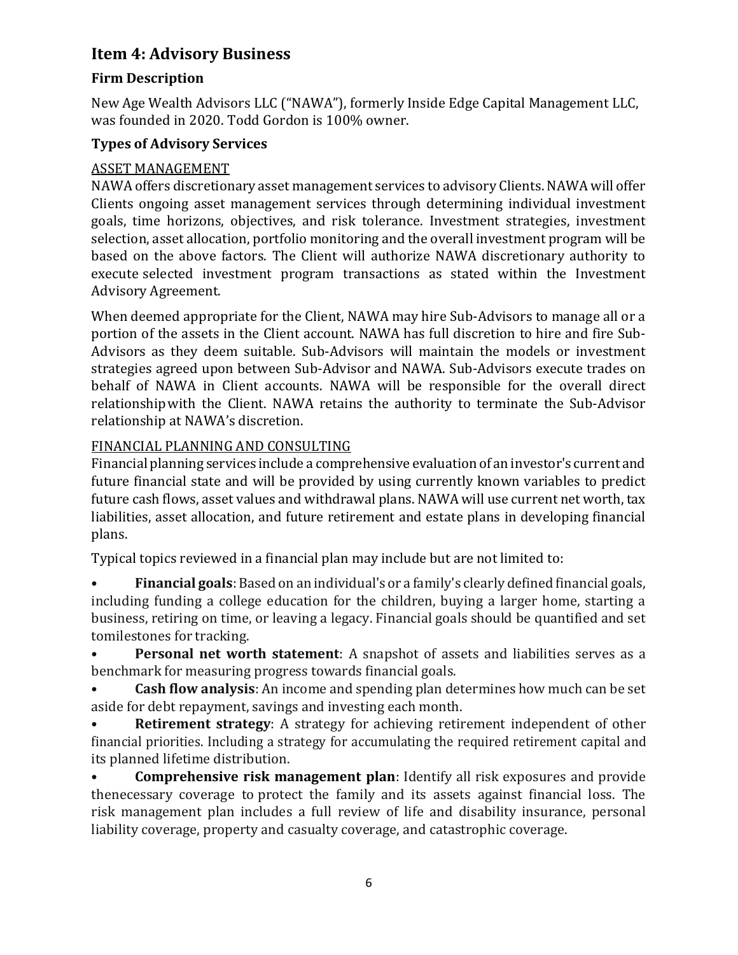## Item 4: Advisory Business

#### Firm Description

New Age Wealth Advisors LLC ("NAWA"), formerly Inside Edge Capital Management LLC, was founded in 2020. Todd Gordon is 100% owner.

#### Types of Advisory Services

#### ASSET MANAGEMENT

NAWA offers discretionary asset management services to advisory Clients. NAWA will offer Clients ongoing asset management services through determining individual investment goals, time horizons, objectives, and risk tolerance. Investment strategies, investment selection, asset allocation, portfolio monitoring and the overall investment program will be based on the above factors. The Client will authorize NAWA discretionary authority to execute selected investment program transactions as stated within the Investment Advisory Agreement.

When deemed appropriate for the Client, NAWA may hire Sub-Advisors to manage all or a portion of the assets in the Client account. NAWA has full discretion to hire and fire Sub-Advisors as they deem suitable. Sub-Advisors will maintain the models or investment strategies agreed upon between Sub-Advisor and NAWA. Sub-Advisors execute trades on behalf of NAWA in Client accounts. NAWA will be responsible for the overall direct relationship with the Client. NAWA retains the authority to terminate the Sub-Advisor relationship at NAWA's discretion.

#### FINANCIAL PLANNING AND CONSULTING

Financial planning services include a comprehensive evaluation of an investor's current and future financial state and will be provided by using currently known variables to predict future cash flows, asset values and withdrawal plans. NAWA will use current net worth, tax liabilities, asset allocation, and future retirement and estate plans in developing financial plans.

Typical topics reviewed in a financial plan may include but are not limited to:

• Financial goals: Based on an individual's or a family's clearly defined financial goals, including funding a college education for the children, buying a larger home, starting a business, retiring on time, or leaving a legacy. Financial goals should be quantified and set to milestones for tracking.

Personal net worth statement: A snapshot of assets and liabilities serves as a benchmark for measuring progress towards financial goals.

**Cash flow analysis:** An income and spending plan determines how much can be set aside for debt repayment, savings and investing each month.

**Retirement strategy:** A strategy for achieving retirement independent of other financial priorities. Including a strategy for accumulating the required retirement capital and its planned lifetime distribution.

• Comprehensive risk management plan: Identify all risk exposures and provide the necessary coverage to protect the family and its assets against financial loss. The risk management plan includes a full review of life and disability insurance, personal liability coverage, property and casualty coverage, and catastrophic coverage.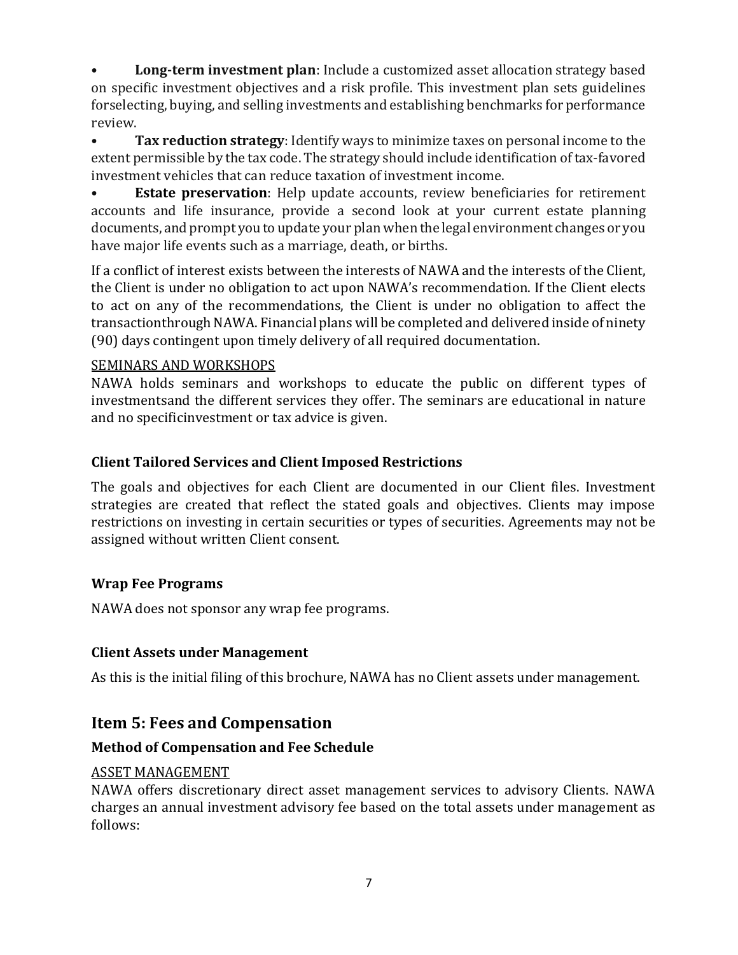**Long-term investment plan**: Include a customized asset allocation strategy based on specific investment objectives and a risk profile. This investment plan sets guidelines for selecting, buying, and selling investments and establishing benchmarks for performance review.

• Tax reduction strategy: Identify ways to minimize taxes on personal income to the extent permissible by the tax code. The strategy should include identification of tax-favored investment vehicles that can reduce taxation of investment income.

• **Estate preservation**: Help update accounts, review beneficiaries for retirement accounts and life insurance, provide a second look at your current estate planning documents, and prompt you to update your plan when the legal environment changes or you have major life events such as a marriage, death, or births.

If a conflict of interest exists between the interests of NAWA and the interests of the Client, the Client is under no obligation to act upon NAWA's recommendation. If the Client elects to act on any of the recommendations, the Client is under no obligation to affect the transaction through NAWA. Financial plans will be completed and delivered inside of ninety (90) days contingent upon timely delivery of all required documentation.

#### SEMINARS AND WORKSHOPS

NAWA holds seminars and workshops to educate the public on different types of investments and the different services they offer. The seminars are educational in nature and no specific investment or tax advice is given.

#### Client Tailored Services and Client Imposed Restrictions

The goals and objectives for each Client are documented in our Client files. Investment strategies are created that reflect the stated goals and objectives. Clients may impose restrictions on investing in certain securities or types of securities. Agreements may not be assigned without written Client consent.

#### Wrap Fee Programs

NAWA does not sponsor any wrap fee programs.

#### Client Assets under Management

As this is the initial filing of this brochure, NAWA has no Client assets under management.

## Item 5: Fees and Compensation

#### Method of Compensation and Fee Schedule

#### ASSET MANAGEMENT

NAWA offers discretionary direct asset management services to advisory Clients. NAWA charges an annual investment advisory fee based on the total assets under management as follows: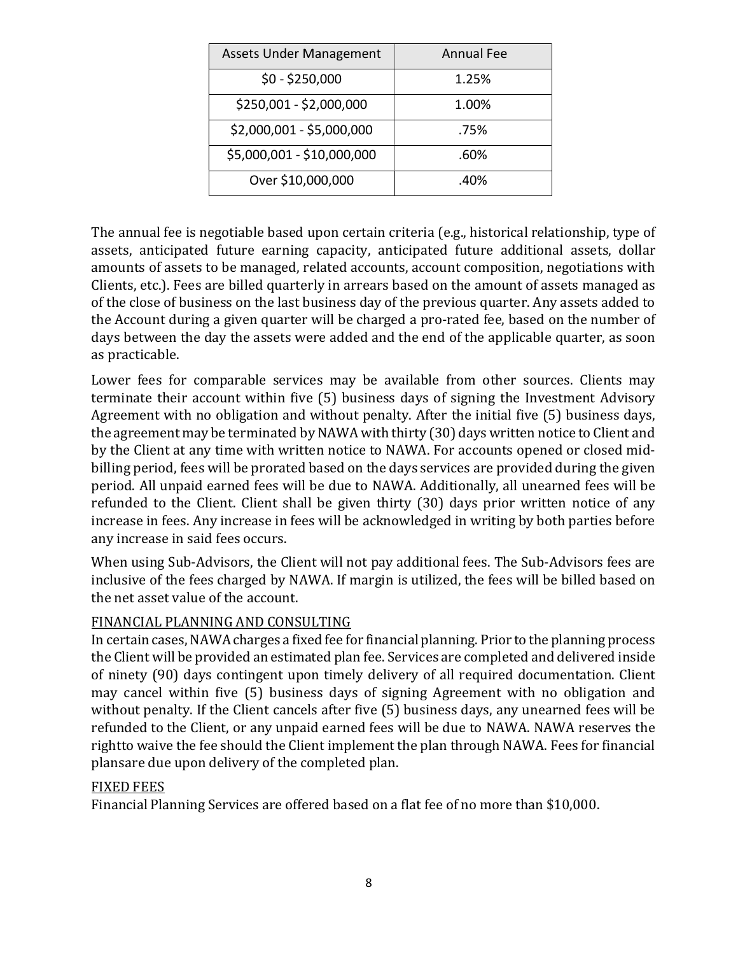| <b>Assets Under Management</b> | <b>Annual Fee</b> |
|--------------------------------|-------------------|
| $$0 - $250,000$                | 1.25%             |
| \$250,001 - \$2,000,000        | 1.00%             |
| \$2,000,001 - \$5,000,000      | .75%              |
| \$5,000,001 - \$10,000,000     | .60%              |
| Over \$10,000,000              | .40%              |

The annual fee is negotiable based upon certain criteria (e.g., historical relationship, type of assets, anticipated future earning capacity, anticipated future additional assets, dollar amounts of assets to be managed, related accounts, account composition, negotiations with Clients, etc.). Fees are billed quarterly in arrears based on the amount of assets managed as of the close of business on the last business day of the previous quarter. Any assets added to the Account during a given quarter will be charged a pro-rated fee, based on the number of days between the day the assets were added and the end of the applicable quarter, as soon as practicable.

Lower fees for comparable services may be available from other sources. Clients may terminate their account within five (5) business days of signing the Investment Advisory Agreement with no obligation and without penalty. After the initial five (5) business days, the agreement may be terminated by NAWA with thirty (30) days written notice to Client and by the Client at any time with written notice to NAWA. For accounts opened or closed midbilling period, fees will be prorated based on the days services are provided during the given period. All unpaid earned fees will be due to NAWA. Additionally, all unearned fees will be refunded to the Client. Client shall be given thirty (30) days prior written notice of any increase in fees. Any increase in fees will be acknowledged in writing by both parties before any increase in said fees occurs.

When using Sub-Advisors, the Client will not pay additional fees. The Sub-Advisors fees are inclusive of the fees charged by NAWA. If margin is utilized, the fees will be billed based on the net asset value of the account.

#### FINANCIAL PLANNING AND CONSULTING

In certain cases, NAWA charges a fixed fee for financial planning. Prior to the planning process the Client will be provided an estimated plan fee. Services are completed and delivered inside of ninety (90) days contingent upon timely delivery of all required documentation. Client may cancel within five (5) business days of signing Agreement with no obligation and without penalty. If the Client cancels after five (5) business days, any unearned fees will be refunded to the Client, or any unpaid earned fees will be due to NAWA. NAWA reserves the right to waive the fee should the Client implement the plan through NAWA. Fees for financial plans are due upon delivery of the completed plan.

#### FIXED FEES

Financial Planning Services are offered based on a flat fee of no more than \$10,000.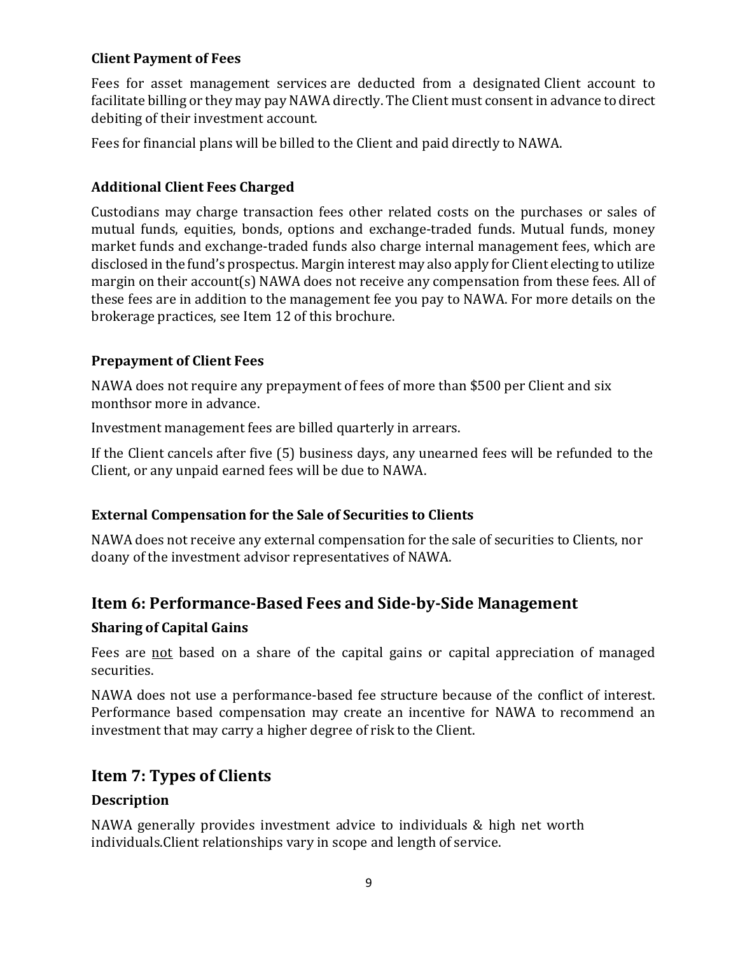#### Client Payment of Fees

Fees for asset management services are deducted from a designated Client account to facilitate billing or they may pay NAWA directly. The Client must consent in advance to direct debiting of their investment account.

Fees for financial plans will be billed to the Client and paid directly to NAWA.

#### Additional Client Fees Charged

Custodians may charge transaction fees other related costs on the purchases or sales of mutual funds, equities, bonds, options and exchange-traded funds. Mutual funds, money market funds and exchange-traded funds also charge internal management fees, which are disclosed in the fund's prospectus. Margin interest may also apply for Client electing to utilize margin on their account(s) NAWA does not receive any compensation from these fees. All of these fees are in addition to the management fee you pay to NAWA. For more details on the brokerage practices, see Item 12 of this brochure.

#### Prepayment of Client Fees

NAWA does not require any prepayment of fees of more than \$500 per Client and six months or more in advance.

Investment management fees are billed quarterly in arrears.

If the Client cancels after five (5) business days, any unearned fees will be refunded to the Client, or any unpaid earned fees will be due to NAWA.

#### External Compensation for the Sale of Securities to Clients

NAWA does not receive any external compensation for the sale of securities to Clients, nor do any of the investment advisor representatives of NAWA.

## Item 6: Performance-Based Fees and Side-by-Side Management

#### Sharing of Capital Gains

Fees are not based on a share of the capital gains or capital appreciation of managed securities.

NAWA does not use a performance-based fee structure because of the conflict of interest. Performance based compensation may create an incentive for NAWA to recommend an investment that may carry a higher degree of risk to the Client.

## Item 7: Types of Clients

#### Description

NAWA generally provides investment advice to individuals & high net worth individuals. Client relationships vary in scope and length of service.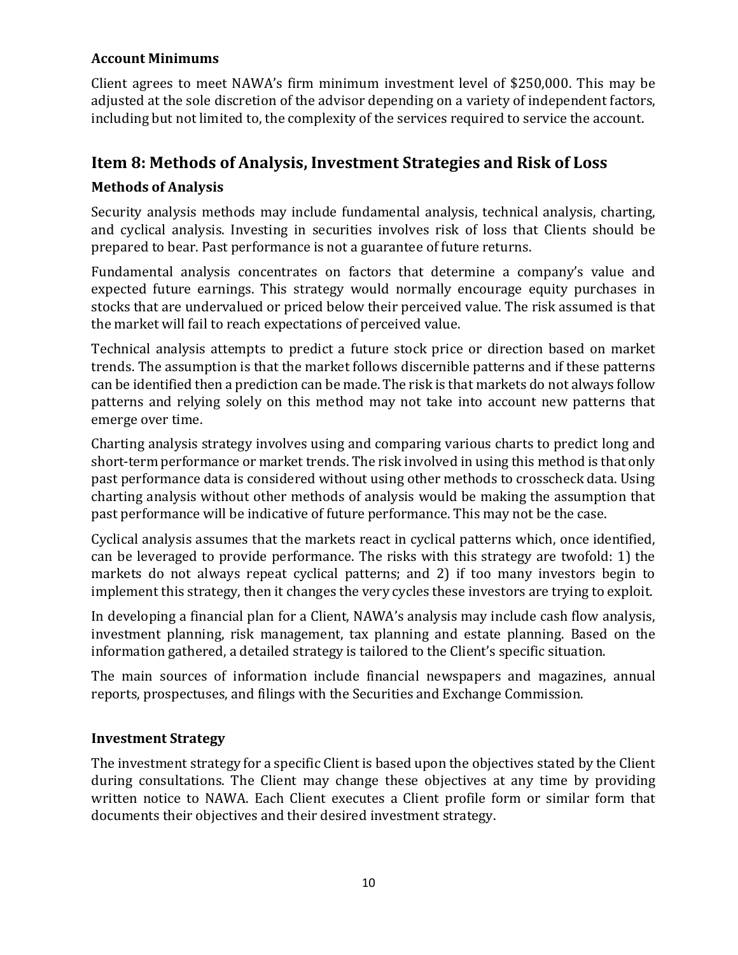#### Account Minimums

Client agrees to meet NAWA's firm minimum investment level of \$250,000. This may be adjusted at the sole discretion of the advisor depending on a variety of independent factors, including but not limited to, the complexity of the services required to service the account.

### Item 8: Methods of Analysis, Investment Strategies and Risk of Loss

#### Methods of Analysis

Security analysis methods may include fundamental analysis, technical analysis, charting, and cyclical analysis. Investing in securities involves risk of loss that Clients should be prepared to bear. Past performance is not a guarantee of future returns.

Fundamental analysis concentrates on factors that determine a company's value and expected future earnings. This strategy would normally encourage equity purchases in stocks that are undervalued or priced below their perceived value. The risk assumed is that the market will fail to reach expectations of perceived value.

Technical analysis attempts to predict a future stock price or direction based on market trends. The assumption is that the market follows discernible patterns and if these patterns can be identified then a prediction can be made. The risk is that markets do not always follow patterns and relying solely on this method may not take into account new patterns that emerge over time.

Charting analysis strategy involves using and comparing various charts to predict long and short-term performance or market trends. The risk involved in using this method is that only past performance data is considered without using other methods to crosscheck data. Using charting analysis without other methods of analysis would be making the assumption that past performance will be indicative of future performance. This may not be the case.

Cyclical analysis assumes that the markets react in cyclical patterns which, once identified, can be leveraged to provide performance. The risks with this strategy are twofold: 1) the markets do not always repeat cyclical patterns; and 2) if too many investors begin to implement this strategy, then it changes the very cycles these investors are trying to exploit.

In developing a financial plan for a Client, NAWA's analysis may include cash flow analysis, investment planning, risk management, tax planning and estate planning. Based on the information gathered, a detailed strategy is tailored to the Client's specific situation.

The main sources of information include financial newspapers and magazines, annual reports, prospectuses, and filings with the Securities and Exchange Commission.

#### Investment Strategy

The investment strategy for a specific Client is based upon the objectives stated by the Client during consultations. The Client may change these objectives at any time by providing written notice to NAWA. Each Client executes a Client profile form or similar form that documents their objectives and their desired investment strategy.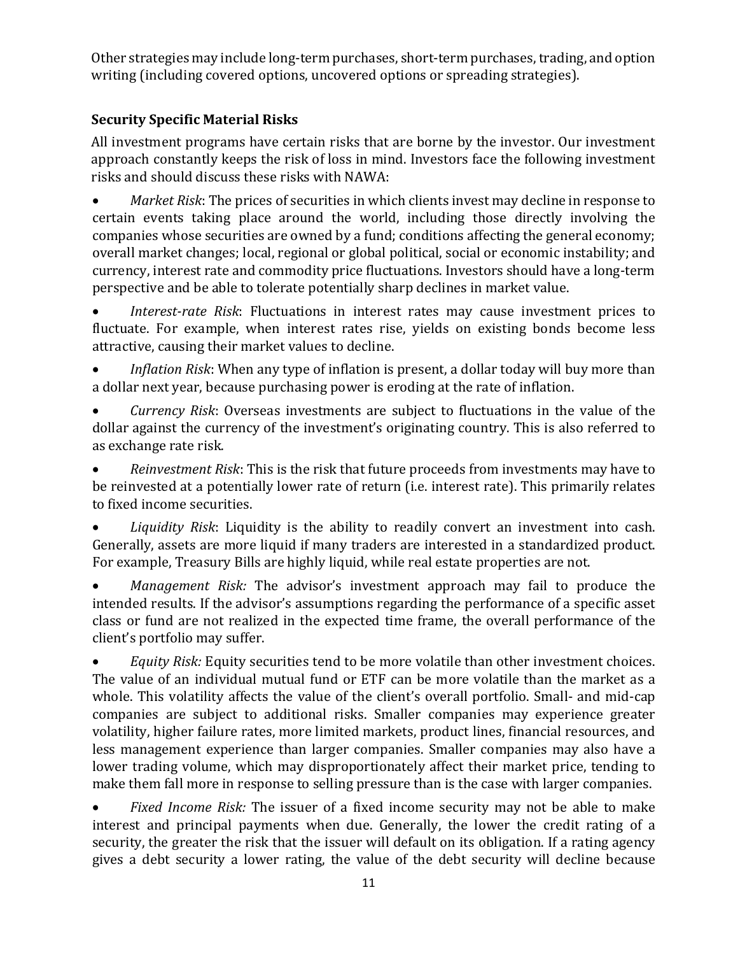Other strategies may include long-term purchases, short-term purchases, trading, and option writing (including covered options, uncovered options or spreading strategies).

## Security Specific Material Risks

All investment programs have certain risks that are borne by the investor. Our investment approach constantly keeps the risk of loss in mind. Investors face the following investment risks and should discuss these risks with NAWA:

 Market Risk: The prices of securities in which clients invest may decline in response to certain events taking place around the world, including those directly involving the companies whose securities are owned by a fund; conditions affecting the general economy; overall market changes; local, regional or global political, social or economic instability; and currency, interest rate and commodity price fluctuations. Investors should have a long-term perspective and be able to tolerate potentially sharp declines in market value.

• Interest-rate Risk: Fluctuations in interest rates may cause investment prices to fluctuate. For example, when interest rates rise, yields on existing bonds become less attractive, causing their market values to decline.

 Inflation Risk: When any type of inflation is present, a dollar today will buy more than a dollar next year, because purchasing power is eroding at the rate of inflation.

 Currency Risk: Overseas investments are subject to fluctuations in the value of the dollar against the currency of the investment's originating country. This is also referred to as exchange rate risk.

 Reinvestment Risk: This is the risk that future proceeds from investments may have to be reinvested at a potentially lower rate of return (i.e. interest rate). This primarily relates to fixed income securities.

Liquidity Risk: Liquidity is the ability to readily convert an investment into cash. Generally, assets are more liquid if many traders are interested in a standardized product. For example, Treasury Bills are highly liquid, while real estate properties are not.

• Management Risk: The advisor's investment approach may fail to produce the intended results. If the advisor's assumptions regarding the performance of a specific asset class or fund are not realized in the expected time frame, the overall performance of the client's portfolio may suffer.

• Equity Risk: Equity securities tend to be more volatile than other investment choices. The value of an individual mutual fund or ETF can be more volatile than the market as a whole. This volatility affects the value of the client's overall portfolio. Small- and mid-cap companies are subject to additional risks. Smaller companies may experience greater volatility, higher failure rates, more limited markets, product lines, financial resources, and less management experience than larger companies. Smaller companies may also have a lower trading volume, which may disproportionately affect their market price, tending to make them fall more in response to selling pressure than is the case with larger companies.

 Fixed Income Risk: The issuer of a fixed income security may not be able to make interest and principal payments when due. Generally, the lower the credit rating of a security, the greater the risk that the issuer will default on its obligation. If a rating agency gives a debt security a lower rating, the value of the debt security will decline because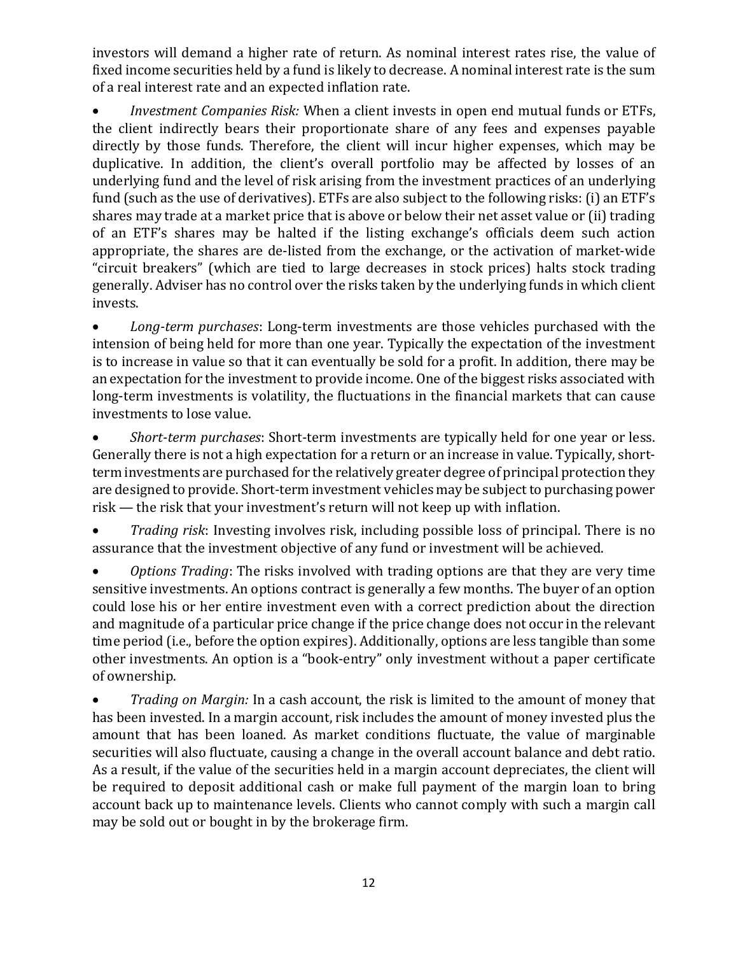investors will demand a higher rate of return. As nominal interest rates rise, the value of fixed income securities held by a fund is likely to decrease. A nominal interest rate is the sum of a real interest rate and an expected inflation rate.

• Investment Companies Risk: When a client invests in open end mutual funds or ETFs, the client indirectly bears their proportionate share of any fees and expenses payable directly by those funds. Therefore, the client will incur higher expenses, which may be duplicative. In addition, the client's overall portfolio may be affected by losses of an underlying fund and the level of risk arising from the investment practices of an underlying fund (such as the use of derivatives). ETFs are also subject to the following risks: (i) an ETF's shares may trade at a market price that is above or below their net asset value or (ii) trading of an ETF's shares may be halted if the listing exchange's officials deem such action appropriate, the shares are de-listed from the exchange, or the activation of market-wide "circuit breakers" (which are tied to large decreases in stock prices) halts stock trading generally. Adviser has no control over the risks taken by the underlying funds in which client invests.

• Long-term purchases: Long-term investments are those vehicles purchased with the intension of being held for more than one year. Typically the expectation of the investment is to increase in value so that it can eventually be sold for a profit. In addition, there may be an expectation for the investment to provide income. One of the biggest risks associated with long-term investments is volatility, the fluctuations in the financial markets that can cause investments to lose value.

• Short-term purchases: Short-term investments are typically held for one year or less. Generally there is not a high expectation for a return or an increase in value. Typically, shortterm investments are purchased for the relatively greater degree of principal protection they are designed to provide. Short-term investment vehicles may be subject to purchasing power risk — the risk that your investment's return will not keep up with inflation.

• Trading risk: Investing involves risk, including possible loss of principal. There is no assurance that the investment objective of any fund or investment will be achieved.

• Options Trading: The risks involved with trading options are that they are very time sensitive investments. An options contract is generally a few months. The buyer of an option could lose his or her entire investment even with a correct prediction about the direction and magnitude of a particular price change if the price change does not occur in the relevant time period (i.e., before the option expires). Additionally, options are less tangible than some other investments. An option is a "book-entry" only investment without a paper certificate of ownership.

• Trading on Margin: In a cash account, the risk is limited to the amount of money that has been invested. In a margin account, risk includes the amount of money invested plus the amount that has been loaned. As market conditions fluctuate, the value of marginable securities will also fluctuate, causing a change in the overall account balance and debt ratio. As a result, if the value of the securities held in a margin account depreciates, the client will be required to deposit additional cash or make full payment of the margin loan to bring account back up to maintenance levels. Clients who cannot comply with such a margin call may be sold out or bought in by the brokerage firm.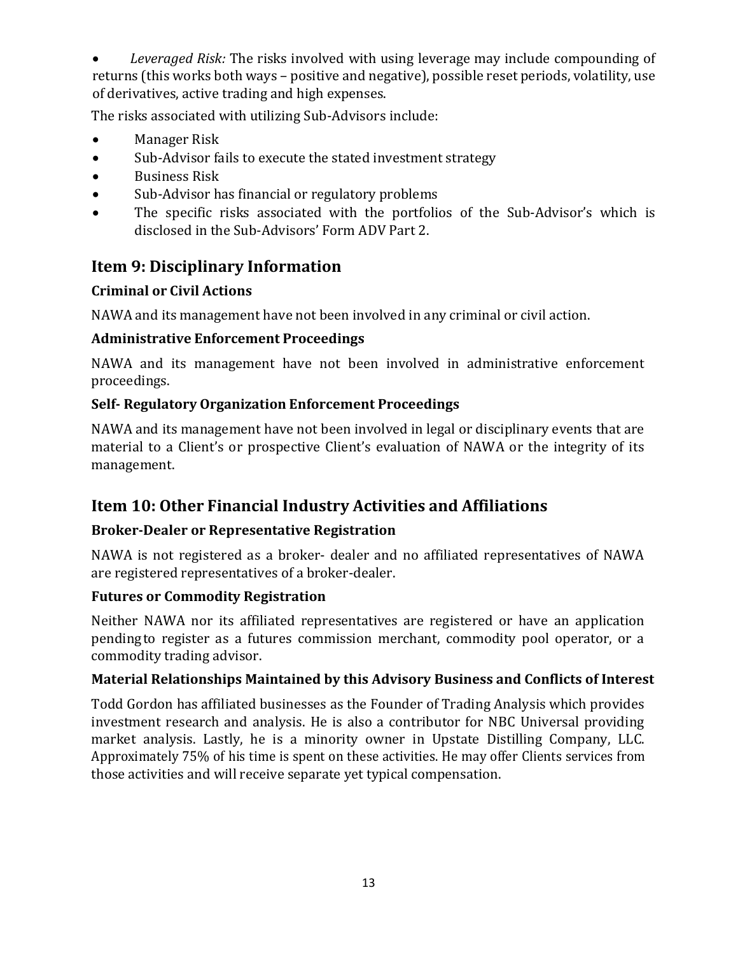• Leveraged Risk: The risks involved with using leverage may include compounding of returns (this works both ways – positive and negative), possible reset periods, volatility, use of derivatives, active trading and high expenses.

The risks associated with utilizing Sub-Advisors include:

- Manager Risk
- Sub-Advisor fails to execute the stated investment strategy
- Business Risk
- Sub-Advisor has financial or regulatory problems
- The specific risks associated with the portfolios of the Sub-Advisor's which is disclosed in the Sub-Advisors' Form ADV Part 2.

## Item 9: Disciplinary Information

## Criminal or Civil Actions

NAWA and its management have not been involved in any criminal or civil action.

## Administrative Enforcement Proceedings

NAWA and its management have not been involved in administrative enforcement proceedings.

## Self- Regulatory Organization Enforcement Proceedings

NAWA and its management have not been involved in legal or disciplinary events that are material to a Client's or prospective Client's evaluation of NAWA or the integrity of its management.

## Item 10: Other Financial Industry Activities and Affiliations

## Broker-Dealer or Representative Registration

NAWA is not registered as a broker- dealer and no affiliated representatives of NAWA are registered representatives of a broker-dealer.

## Futures or Commodity Registration

Neither NAWA nor its affiliated representatives are registered or have an application pending to register as a futures commission merchant, commodity pool operator, or a commodity trading advisor.

## Material Relationships Maintained by this Advisory Business and Conflicts of Interest

Todd Gordon has affiliated businesses as the Founder of Trading Analysis which provides investment research and analysis. He is also a contributor for NBC Universal providing market analysis. Lastly, he is a minority owner in Upstate Distilling Company, LLC. Approximately 75% of his time is spent on these activities. He may offer Clients services from those activities and will receive separate yet typical compensation.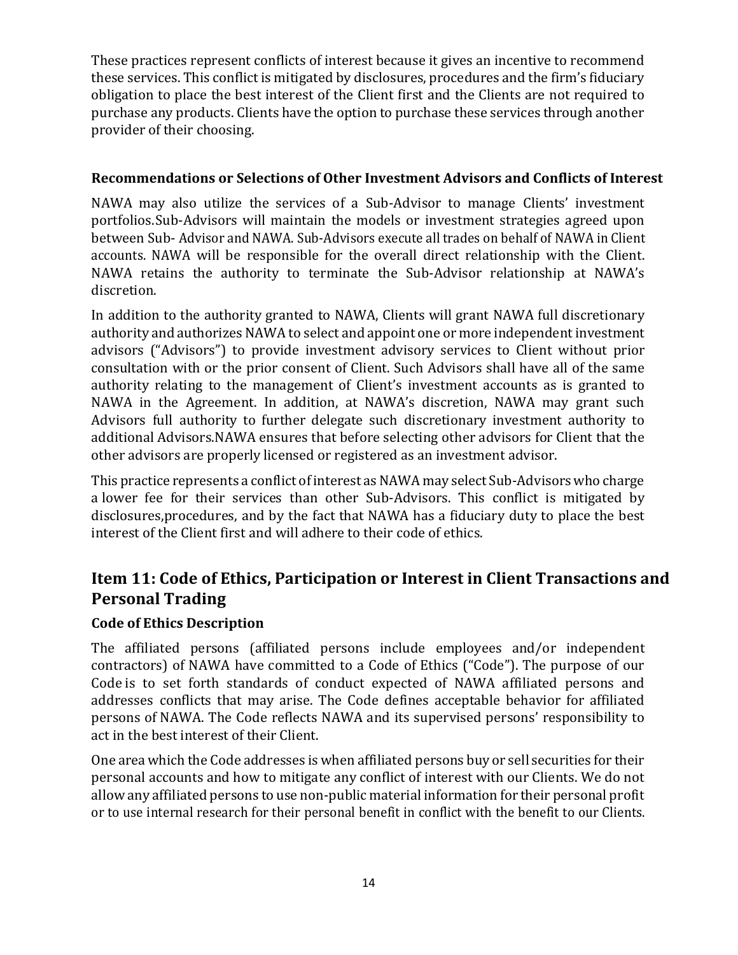These practices represent conflicts of interest because it gives an incentive to recommend these services. This conflict is mitigated by disclosures, procedures and the firm's fiduciary obligation to place the best interest of the Client first and the Clients are not required to purchase any products. Clients have the option to purchase these services through another provider of their choosing.

#### Recommendations or Selections of Other Investment Advisors and Conflicts of Interest

NAWA may also utilize the services of a Sub-Advisor to manage Clients' investment portfolios. Sub-Advisors will maintain the models or investment strategies agreed upon between Sub- Advisor and NAWA. Sub-Advisors execute all trades on behalf of NAWA in Client accounts. NAWA will be responsible for the overall direct relationship with the Client. NAWA retains the authority to terminate the Sub-Advisor relationship at NAWA's discretion.

In addition to the authority granted to NAWA, Clients will grant NAWA full discretionary authority and authorizes NAWA to select and appoint one or more independent investment advisors ("Advisors") to provide investment advisory services to Client without prior consultation with or the prior consent of Client. Such Advisors shall have all of the same authority relating to the management of Client's investment accounts as is granted to NAWA in the Agreement. In addition, at NAWA's discretion, NAWA may grant such Advisors full authority to further delegate such discretionary investment authority to additional Advisors. NAWA ensures that before selecting other advisors for Client that the other advisors are properly licensed or registered as an investment advisor.

This practice represents a conflict of interest as NAWA may select Sub-Advisors who charge a lower fee for their services than other Sub-Advisors. This conflict is mitigated by disclosures, procedures, and by the fact that NAWA has a fiduciary duty to place the best interest of the Client first and will adhere to their code of ethics.

## Item 11: Code of Ethics, Participation or Interest in Client Transactions and Personal Trading

#### Code of Ethics Description

The affiliated persons (affiliated persons include employees and/or independent contractors) of NAWA have committed to a Code of Ethics ("Code"). The purpose of our Code is to set forth standards of conduct expected of NAWA affiliated persons and addresses conflicts that may arise. The Code defines acceptable behavior for affiliated persons of NAWA. The Code reflects NAWA and its supervised persons' responsibility to act in the best interest of their Client.

One area which the Code addresses is when affiliated persons buy or sell securities for their personal accounts and how to mitigate any conflict of interest with our Clients. We do not allow any affiliated persons to use non-public material information for their personal profit or to use internal research for their personal benefit in conflict with the benefit to our Clients.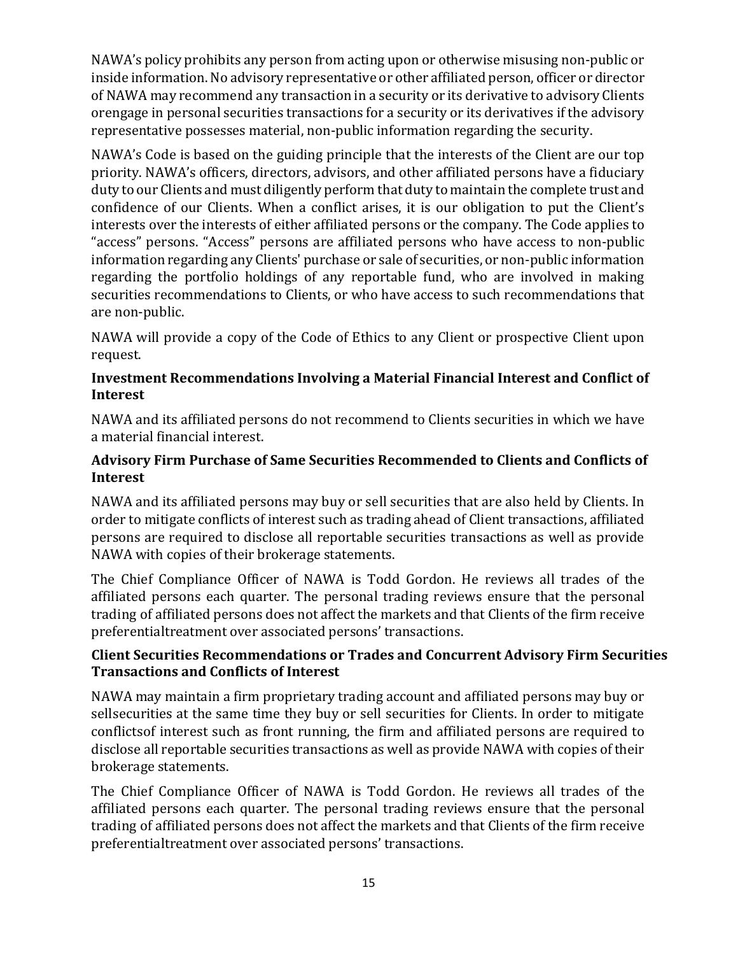NAWA's policy prohibits any person from acting upon or otherwise misusing non-public or inside information. No advisory representative or other affiliated person, officer or director of NAWA may recommend any transaction in a security or its derivative to advisory Clients or engage in personal securities transactions for a security or its derivatives if the advisory representative possesses material, non-public information regarding the security.

NAWA's Code is based on the guiding principle that the interests of the Client are our top priority. NAWA's officers, directors, advisors, and other affiliated persons have a fiduciary duty to our Clients and must diligently perform that duty to maintain the complete trust and confidence of our Clients. When a conflict arises, it is our obligation to put the Client's interests over the interests of either affiliated persons or the company. The Code applies to "access" persons. "Access" persons are affiliated persons who have access to non-public information regarding any Clients' purchase or sale of securities, or non-public information regarding the portfolio holdings of any reportable fund, who are involved in making securities recommendations to Clients, or who have access to such recommendations that are non-public.

NAWA will provide a copy of the Code of Ethics to any Client or prospective Client upon request.

#### Investment Recommendations Involving a Material Financial Interest and Conflict of Interest

NAWA and its affiliated persons do not recommend to Clients securities in which we have a material financial interest.

#### Advisory Firm Purchase of Same Securities Recommended to Clients and Conflicts of Interest

NAWA and its affiliated persons may buy or sell securities that are also held by Clients. In order to mitigate conflicts of interest such as trading ahead of Client transactions, affiliated persons are required to disclose all reportable securities transactions as well as provide NAWA with copies of their brokerage statements.

The Chief Compliance Officer of NAWA is Todd Gordon. He reviews all trades of the affiliated persons each quarter. The personal trading reviews ensure that the personal trading of affiliated persons does not affect the markets and that Clients of the firm receive preferential treatment over associated persons' transactions.

#### Client Securities Recommendations or Trades and Concurrent Advisory Firm Securities Transactions and Conflicts of Interest

NAWA may maintain a firm proprietary trading account and affiliated persons may buy or sell securities at the same time they buy or sell securities for Clients. In order to mitigate conflicts of interest such as front running, the firm and affiliated persons are required to disclose all reportable securities transactions as well as provide NAWA with copies of their brokerage statements.

The Chief Compliance Officer of NAWA is Todd Gordon. He reviews all trades of the affiliated persons each quarter. The personal trading reviews ensure that the personal trading of affiliated persons does not affect the markets and that Clients of the firm receive preferential treatment over associated persons' transactions.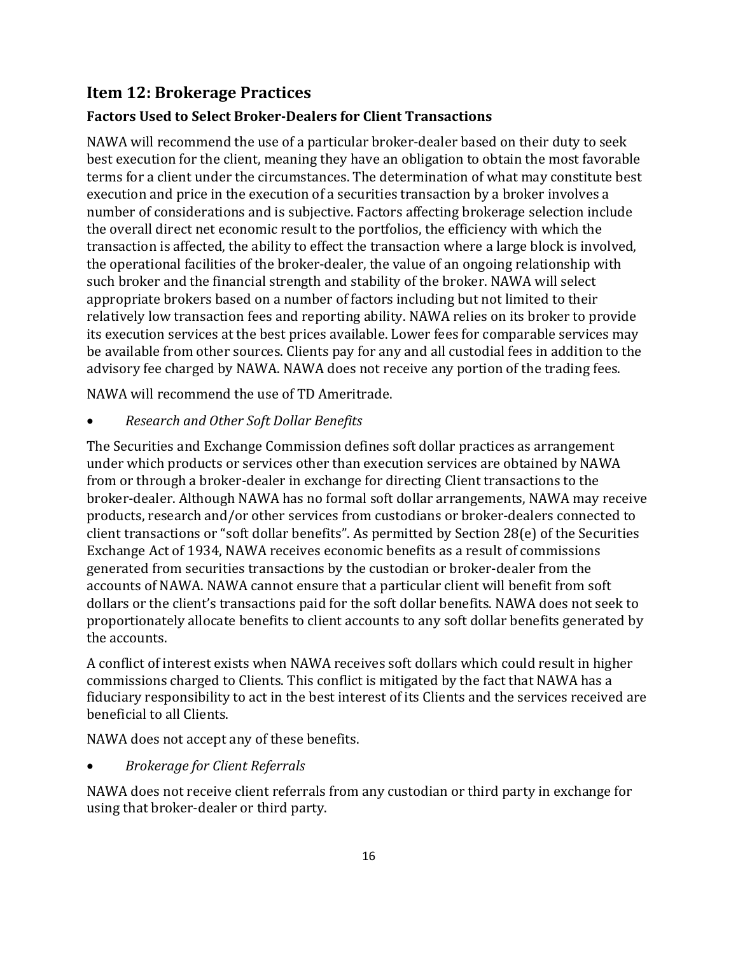## Item 12: Brokerage Practices

### Factors Used to Select Broker-Dealers for Client Transactions

NAWA will recommend the use of a particular broker-dealer based on their duty to seek best execution for the client, meaning they have an obligation to obtain the most favorable terms for a client under the circumstances. The determination of what may constitute best execution and price in the execution of a securities transaction by a broker involves a number of considerations and is subjective. Factors affecting brokerage selection include the overall direct net economic result to the portfolios, the efficiency with which the transaction is affected, the ability to effect the transaction where a large block is involved, the operational facilities of the broker-dealer, the value of an ongoing relationship with such broker and the financial strength and stability of the broker. NAWA will select appropriate brokers based on a number of factors including but not limited to their relatively low transaction fees and reporting ability. NAWA relies on its broker to provide its execution services at the best prices available. Lower fees for comparable services may be available from other sources. Clients pay for any and all custodial fees in addition to the advisory fee charged by NAWA. NAWA does not receive any portion of the trading fees.

NAWA will recommend the use of TD Ameritrade.

Research and Other Soft Dollar Benefits

The Securities and Exchange Commission defines soft dollar practices as arrangement under which products or services other than execution services are obtained by NAWA from or through a broker-dealer in exchange for directing Client transactions to the broker-dealer. Although NAWA has no formal soft dollar arrangements, NAWA may receive products, research and/or other services from custodians or broker-dealers connected to client transactions or "soft dollar benefits". As permitted by Section 28(e) of the Securities Exchange Act of 1934, NAWA receives economic benefits as a result of commissions generated from securities transactions by the custodian or broker-dealer from the accounts of NAWA. NAWA cannot ensure that a particular client will benefit from soft dollars or the client's transactions paid for the soft dollar benefits. NAWA does not seek to proportionately allocate benefits to client accounts to any soft dollar benefits generated by the accounts.

A conflict of interest exists when NAWA receives soft dollars which could result in higher commissions charged to Clients. This conflict is mitigated by the fact that NAWA has a fiduciary responsibility to act in the best interest of its Clients and the services received are beneficial to all Clients.

NAWA does not accept any of these benefits.

Brokerage for Client Referrals

NAWA does not receive client referrals from any custodian or third party in exchange for using that broker-dealer or third party.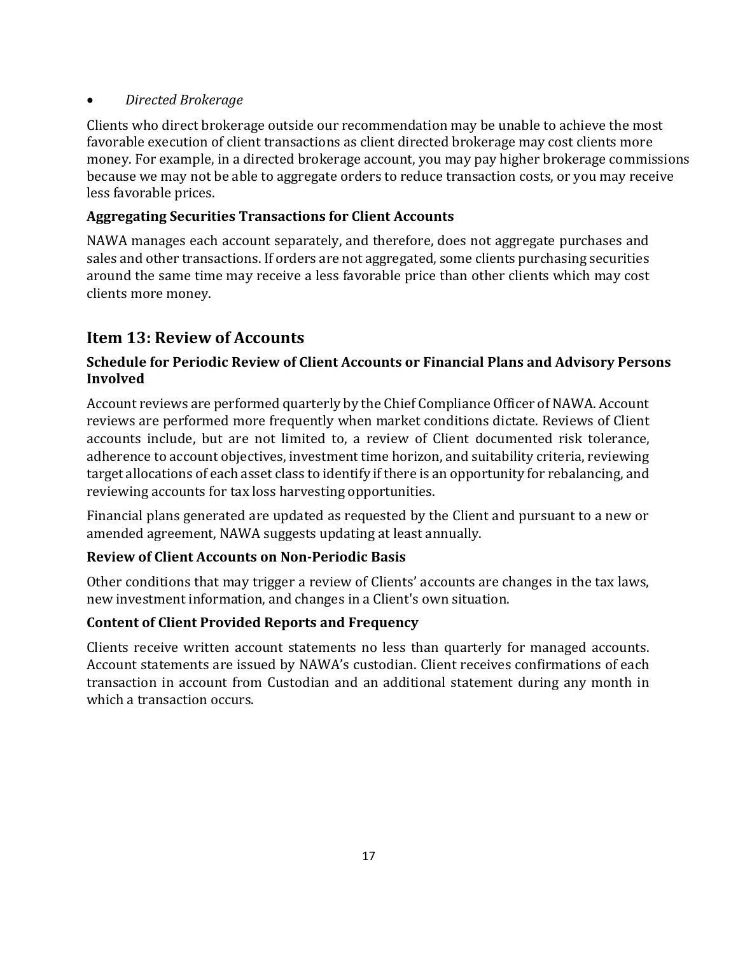#### Directed Brokerage

Clients who direct brokerage outside our recommendation may be unable to achieve the most favorable execution of client transactions as client directed brokerage may cost clients more money. For example, in a directed brokerage account, you may pay higher brokerage commissions because we may not be able to aggregate orders to reduce transaction costs, or you may receive less favorable prices.

#### Aggregating Securities Transactions for Client Accounts

NAWA manages each account separately, and therefore, does not aggregate purchases and sales and other transactions. If orders are not aggregated, some clients purchasing securities around the same time may receive a less favorable price than other clients which may cost clients more money.

## Item 13: Review of Accounts

#### Schedule for Periodic Review of Client Accounts or Financial Plans and Advisory Persons Involved

Account reviews are performed quarterly by the Chief Compliance Officer of NAWA. Account reviews are performed more frequently when market conditions dictate. Reviews of Client accounts include, but are not limited to, a review of Client documented risk tolerance, adherence to account objectives, investment time horizon, and suitability criteria, reviewing target allocations of each asset class to identify if there is an opportunity for rebalancing, and reviewing accounts for tax loss harvesting opportunities.

Financial plans generated are updated as requested by the Client and pursuant to a new or amended agreement, NAWA suggests updating at least annually.

#### Review of Client Accounts on Non-Periodic Basis

Other conditions that may trigger a review of Clients' accounts are changes in the tax laws, new investment information, and changes in a Client's own situation.

#### Content of Client Provided Reports and Frequency

Clients receive written account statements no less than quarterly for managed accounts. Account statements are issued by NAWA's custodian. Client receives confirmations of each transaction in account from Custodian and an additional statement during any month in which a transaction occurs.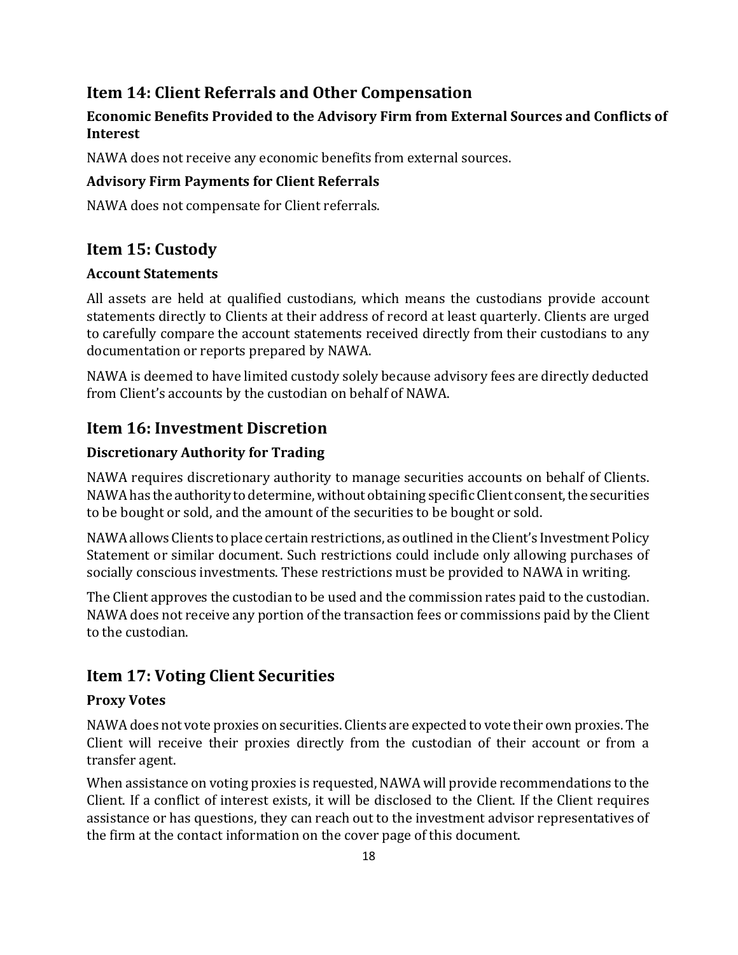## Item 14: Client Referrals and Other Compensation

#### Economic Benefits Provided to the Advisory Firm from External Sources and Conflicts of Interest

NAWA does not receive any economic benefits from external sources.

#### Advisory Firm Payments for Client Referrals

NAWA does not compensate for Client referrals.

## Item 15: Custody

#### Account Statements

All assets are held at qualified custodians, which means the custodians provide account statements directly to Clients at their address of record at least quarterly. Clients are urged to carefully compare the account statements received directly from their custodians to any documentation or reports prepared by NAWA.

NAWA is deemed to have limited custody solely because advisory fees are directly deducted from Client's accounts by the custodian on behalf of NAWA.

### Item 16: Investment Discretion

#### Discretionary Authority for Trading

NAWA requires discretionary authority to manage securities accounts on behalf of Clients. NAWA has the authority to determine, without obtaining specific Client consent, the securities to be bought or sold, and the amount of the securities to be bought or sold.

NAWA allows Clients to place certain restrictions, as outlined in the Client's Investment Policy Statement or similar document. Such restrictions could include only allowing purchases of socially conscious investments. These restrictions must be provided to NAWA in writing.

The Client approves the custodian to be used and the commission rates paid to the custodian. NAWA does not receive any portion of the transaction fees or commissions paid by the Client to the custodian.

## Item 17: Voting Client Securities

#### Proxy Votes

NAWA does not vote proxies on securities. Clients are expected to vote their own proxies. The Client will receive their proxies directly from the custodian of their account or from a transfer agent.

When assistance on voting proxies is requested, NAWA will provide recommendations to the Client. If a conflict of interest exists, it will be disclosed to the Client. If the Client requires assistance or has questions, they can reach out to the investment advisor representatives of the firm at the contact information on the cover page of this document.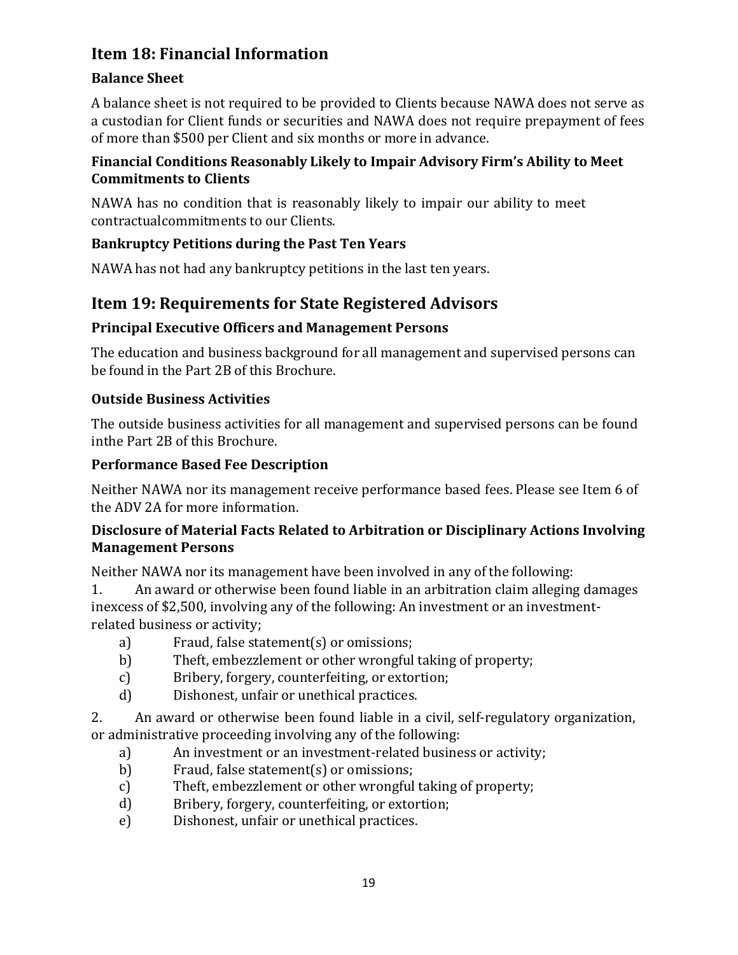## Item 18: Financial Information

## Balance Sheet

A balance sheet is not required to be provided to Clients because NAWA does not serve as a custodian for Client funds or securities and NAWA does not require prepayment of fees of more than \$500 per Client and six months or more in advance.

### Financial Conditions Reasonably Likely to Impair Advisory Firm's Ability to Meet Commitments to Clients

NAWA has no condition that is reasonably likely to impair our ability to meet contractual commitments to our Clients.

## Bankruptcy Petitions during the Past Ten Years

NAWA has not had any bankruptcy petitions in the last ten years.

## Item 19: Requirements for State Registered Advisors

## Principal Executive Officers and Management Persons

The education and business background for all management and supervised persons can be found in the Part 2B of this Brochure.

## Outside Business Activities

The outside business activities for all management and supervised persons can be found in the Part 2B of this Brochure.

## Performance Based Fee Description

Neither NAWA nor its management receive performance based fees. Please see Item 6 of the ADV 2A for more information.

### Disclosure of Material Facts Related to Arbitration or Disciplinary Actions Involving Management Persons

Neither NAWA nor its management have been involved in any of the following:

1. An award or otherwise been found liable in an arbitration claim alleging damages in excess of \$2,500, involving any of the following: An investment or an investmentrelated business or activity;

- a) Fraud, false statement(s) or omissions;
- b) Theft, embezzlement or other wrongful taking of property;
- c) Bribery, forgery, counterfeiting, or extortion;
- d) Dishonest, unfair or unethical practices.
- 2. An award or otherwise been found liable in a civil, self-regulatory organization, or administrative proceeding involving any of the following:
	- a) An investment or an investment-related business or activity;
	- b) Fraud, false statement(s) or omissions;
	- c) Theft, embezzlement or other wrongful taking of property;
	- d) Bribery, forgery, counterfeiting, or extortion;
	- e) Dishonest, unfair or unethical practices.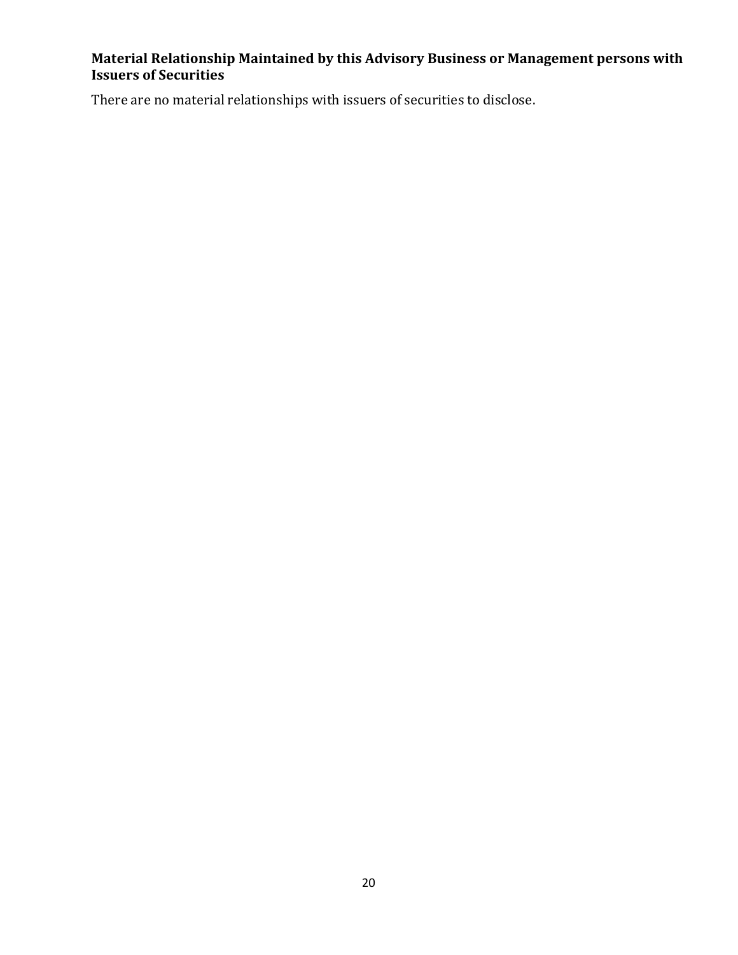### Material Relationship Maintained by this Advisory Business or Management persons with Issuers of Securities

There are no material relationships with issuers of securities to disclose.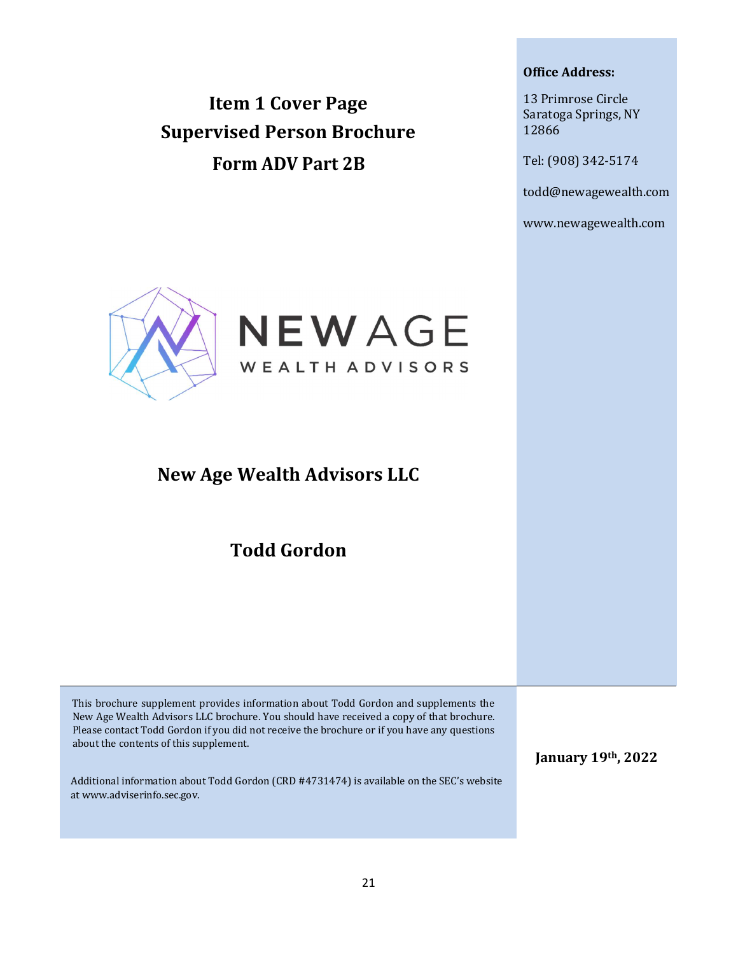Item 1 Cover Page Supervised Person Brochure Form ADV Part 2B

#### Office Address:

13 Primrose Circle Saratoga Springs, NY 12866

Tel: (908) 342-5174

todd@newagewealth.com

www.newagewealth.com



## New Age Wealth Advisors LLC

Todd Gordon

This brochure supplement provides information about Todd Gordon and supplements the New Age Wealth Advisors LLC brochure. You should have received a copy of that brochure. Please contact Todd Gordon if you did not receive the brochure or if you have any questions about the contents of this supplement.

Additional information about Todd Gordon (CRD #4731474) is available on the SEC's website at www.adviserinfo.sec.gov.

January 19th, 2022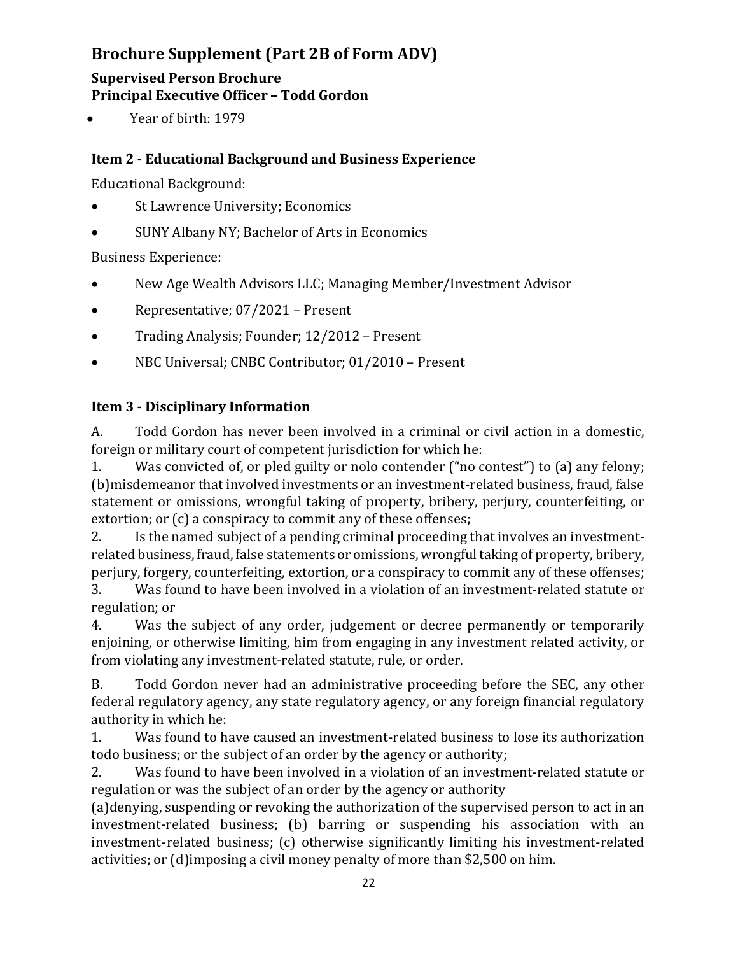## Brochure Supplement (Part 2B of Form ADV)

## Supervised Person Brochure Principal Executive Officer – Todd Gordon

Year of birth: 1979

## Item 2 - Educational Background and Business Experience

Educational Background:

- St Lawrence University; Economics
- SUNY Albany NY; Bachelor of Arts in Economics

Business Experience:

- New Age Wealth Advisors LLC; Managing Member/Investment Advisor
- Representative; 07/2021 Present
- Trading Analysis; Founder; 12/2012 Present
- NBC Universal; CNBC Contributor; 01/2010 Present

## Item 3 - Disciplinary Information

A. Todd Gordon has never been involved in a criminal or civil action in a domestic, foreign or military court of competent jurisdiction for which he:

1. Was convicted of, or pled guilty or nolo contender ("no contest") to (a) any felony; (b) misdemeanor that involved investments or an investment-related business, fraud, false statement or omissions, wrongful taking of property, bribery, perjury, counterfeiting, or extortion; or (c) a conspiracy to commit any of these offenses;

2. Is the named subject of a pending criminal proceeding that involves an investmentrelated business, fraud, false statements or omissions, wrongful taking of property, bribery, perjury, forgery, counterfeiting, extortion, or a conspiracy to commit any of these offenses;

3. Was found to have been involved in a violation of an investment-related statute or regulation; or

4. Was the subject of any order, judgement or decree permanently or temporarily enjoining, or otherwise limiting, him from engaging in any investment related activity, or from violating any investment-related statute, rule, or order.

B. Todd Gordon never had an administrative proceeding before the SEC, any other federal regulatory agency, any state regulatory agency, or any foreign financial regulatory authority in which he:

1. Was found to have caused an investment-related business to lose its authorization to do business; or the subject of an order by the agency or authority;

2. Was found to have been involved in a violation of an investment-related statute or regulation or was the subject of an order by the agency or authority

(a)denying, suspending or revoking the authorization of the supervised person to act in an investment-related business; (b) barring or suspending his association with an investment- related business; (c) otherwise significantly limiting his investment-related activities; or (d) imposing a civil money penalty of more than \$2,500 on him.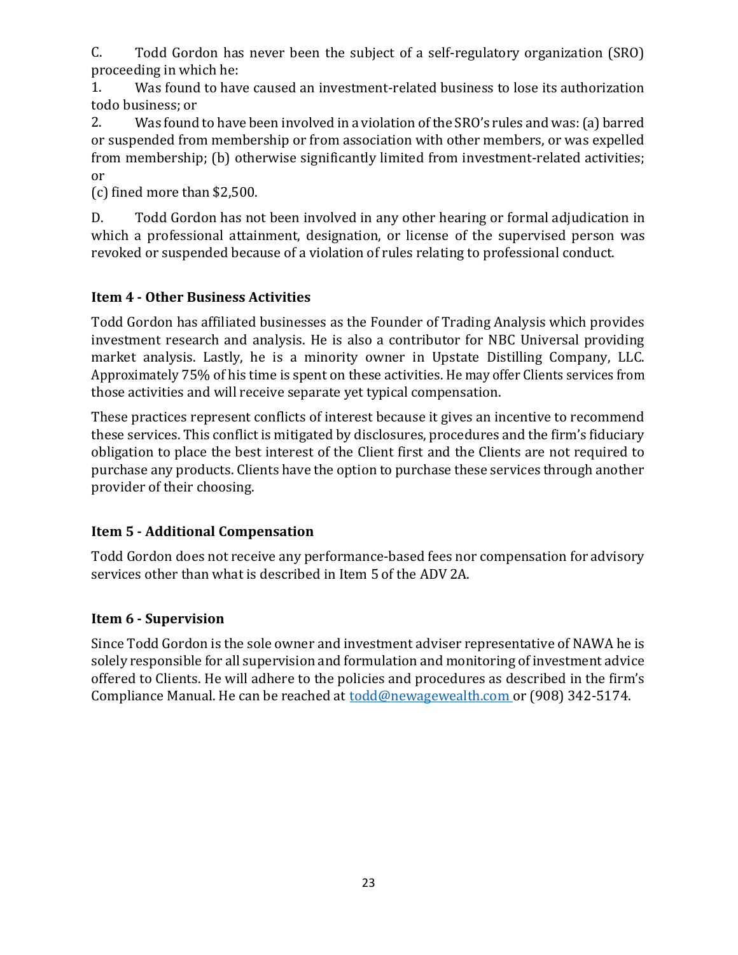C. Todd Gordon has never been the subject of a self-regulatory organization (SRO) proceeding in which he:

1. Was found to have caused an investment-related business to lose its authorization todo business; or

2. Was found to have been involved in a violation of the SRO's rules and was: (a) barred or suspended from membership or from association with other members, or was expelled from membership; (b) otherwise significantly limited from investment-related activities; or

(c) fined more than \$2,500.

D. Todd Gordon has not been involved in any other hearing or formal adjudication in which a professional attainment, designation, or license of the supervised person was revoked or suspended because of a violation of rules relating to professional conduct.

## Item 4 - Other Business Activities

Todd Gordon has affiliated businesses as the Founder of Trading Analysis which provides investment research and analysis. He is also a contributor for NBC Universal providing market analysis. Lastly, he is a minority owner in Upstate Distilling Company, LLC. Approximately 75% of his time is spent on these activities. He may offer Clients services from those activities and will receive separate yet typical compensation.

These practices represent conflicts of interest because it gives an incentive to recommend these services. This conflict is mitigated by disclosures, procedures and the firm's fiduciary obligation to place the best interest of the Client first and the Clients are not required to purchase any products. Clients have the option to purchase these services through another provider of their choosing.

## Item 5 - Additional Compensation

Todd Gordon does not receive any performance-based fees nor compensation for advisory services other than what is described in Item 5 of the ADV 2A.

## Item 6 - Supervision

Since Todd Gordon is the sole owner and investment adviser representative of NAWA he is solely responsible for all supervision and formulation and monitoring of investment advice offered to Clients. He will adhere to the policies and procedures as described in the firm's Compliance Manual. He can be reached at todd@newagewealth.com or (908) 342-5174.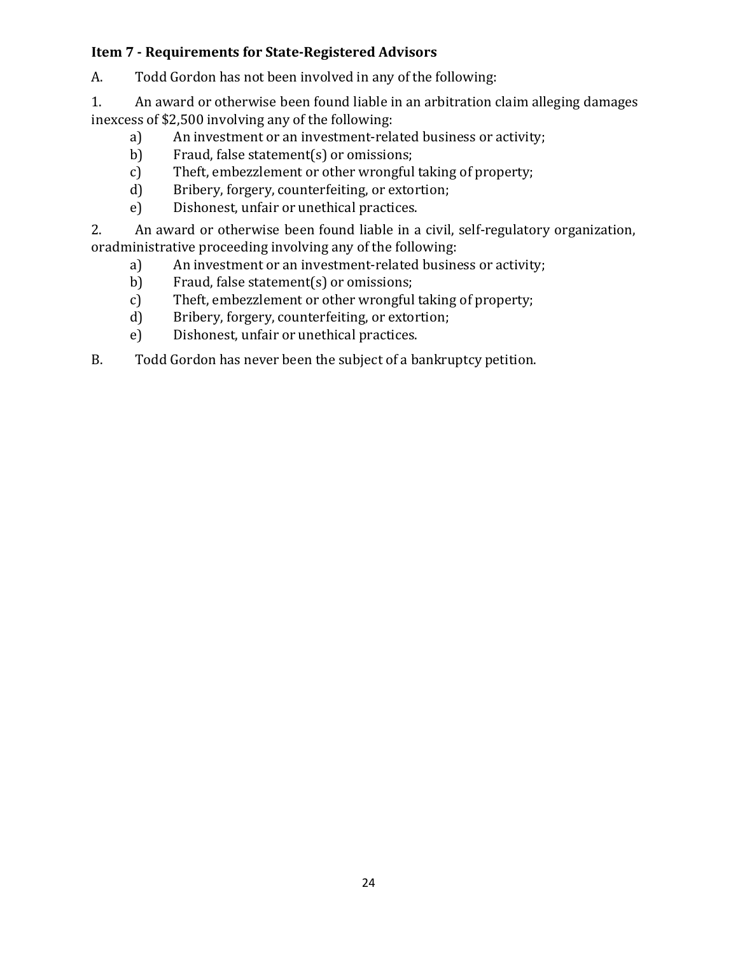### Item 7 - Requirements for State-Registered Advisors

A. Todd Gordon has not been involved in any of the following:

1. An award or otherwise been found liable in an arbitration claim alleging damages in excess of \$2,500 involving any of the following:

- a) An investment or an investment-related business or activity;
- b) Fraud, false statement(s) or omissions;
- c) Theft, embezzlement or other wrongful taking of property;
- d) Bribery, forgery, counterfeiting, or extortion;
- e) Dishonest, unfair or unethical practices.

2. An award or otherwise been found liable in a civil, self-regulatory organization, or administrative proceeding involving any of the following:

- a) An investment or an investment-related business or activity;
- b) Fraud, false statement(s) or omissions;
- c) Theft, embezzlement or other wrongful taking of property;
- d) Bribery, forgery, counterfeiting, or extortion;
- e) Dishonest, unfair or unethical practices.
- B. Todd Gordon has never been the subject of a bankruptcy petition.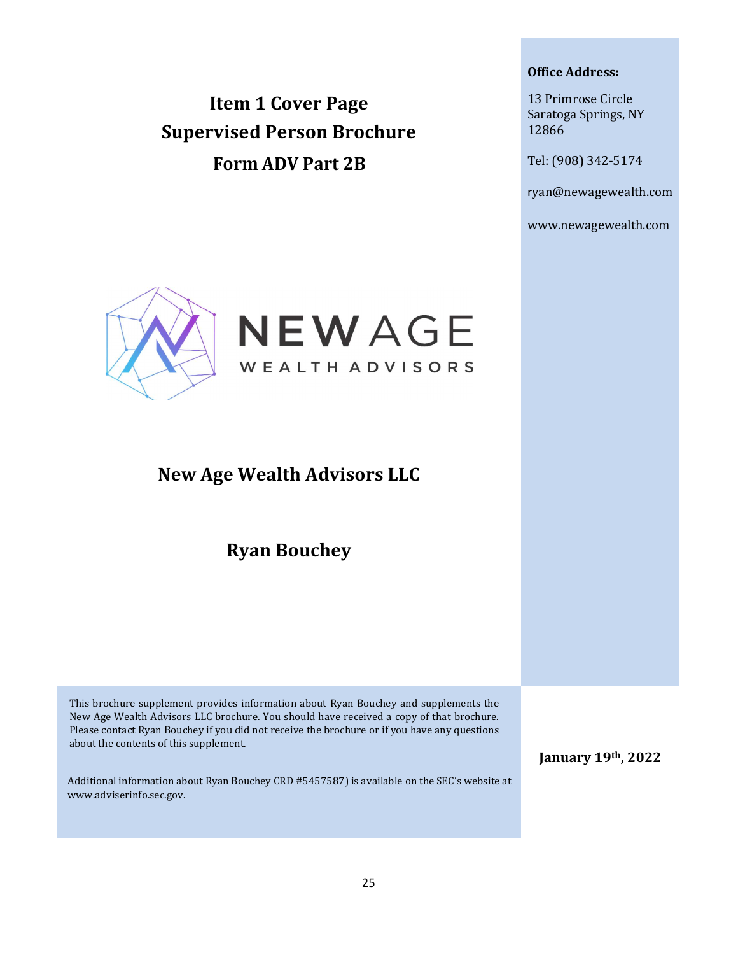Item 1 Cover Page Supervised Person Brochure Form ADV Part 2B

#### Office Address:

13 Primrose Circle Saratoga Springs, NY 12866

Tel: (908) 342-5174

ryan@newagewealth.com

www.newagewealth.com



## New Age Wealth Advisors LLC

Ryan Bouchey

This brochure supplement provides information about Ryan Bouchey and supplements the New Age Wealth Advisors LLC brochure. You should have received a copy of that brochure. Please contact Ryan Bouchey if you did not receive the brochure or if you have any questions about the contents of this supplement.

Additional information about Ryan Bouchey CRD #5457587) is available on the SEC's website at www.adviserinfo.sec.gov.

January 19th, 2022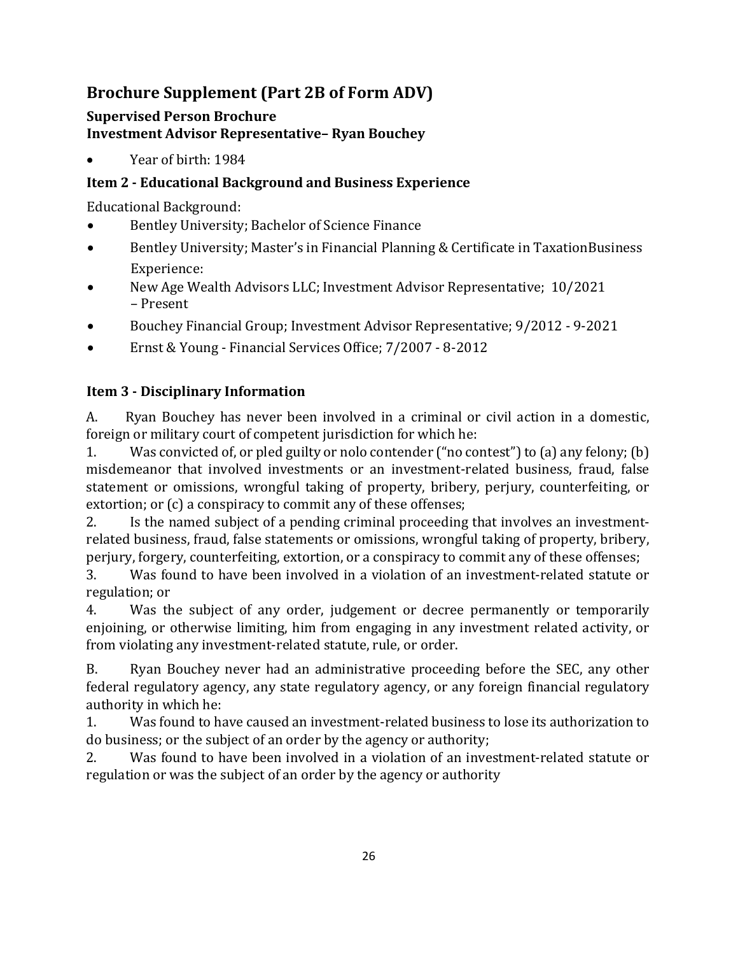## Brochure Supplement (Part 2B of Form ADV)

### Supervised Person Brochure Investment Advisor Representative– Ryan Bouchey

Year of birth: 1984

### Item 2 - Educational Background and Business Experience

Educational Background:

- Bentley University; Bachelor of Science Finance
- Bentley University; Master's in Financial Planning & Certificate in Taxation Business Experience:
- New Age Wealth Advisors LLC; Investment Advisor Representative; 10/2021 – Present
- Bouchey Financial Group; Investment Advisor Representative; 9/2012 9-2021
- Ernst & Young Financial Services Office; 7/2007 8-2012

### Item 3 - Disciplinary Information

A. Ryan Bouchey has never been involved in a criminal or civil action in a domestic, foreign or military court of competent jurisdiction for which he:

1. Was convicted of, or pled guilty or nolo contender ("no contest") to (a) any felony; (b) misdemeanor that involved investments or an investment-related business, fraud, false statement or omissions, wrongful taking of property, bribery, perjury, counterfeiting, or extortion; or (c) a conspiracy to commit any of these offenses;

2. Is the named subject of a pending criminal proceeding that involves an investmentrelated business, fraud, false statements or omissions, wrongful taking of property, bribery, perjury, forgery, counterfeiting, extortion, or a conspiracy to commit any of these offenses;

3. Was found to have been involved in a violation of an investment-related statute or regulation; or

4. Was the subject of any order, judgement or decree permanently or temporarily enjoining, or otherwise limiting, him from engaging in any investment related activity, or from violating any investment-related statute, rule, or order.

B. Ryan Bouchey never had an administrative proceeding before the SEC, any other federal regulatory agency, any state regulatory agency, or any foreign financial regulatory authority in which he:

1. Was found to have caused an investment-related business to lose its authorization to do business; or the subject of an order by the agency or authority;

2. Was found to have been involved in a violation of an investment-related statute or regulation or was the subject of an order by the agency or authority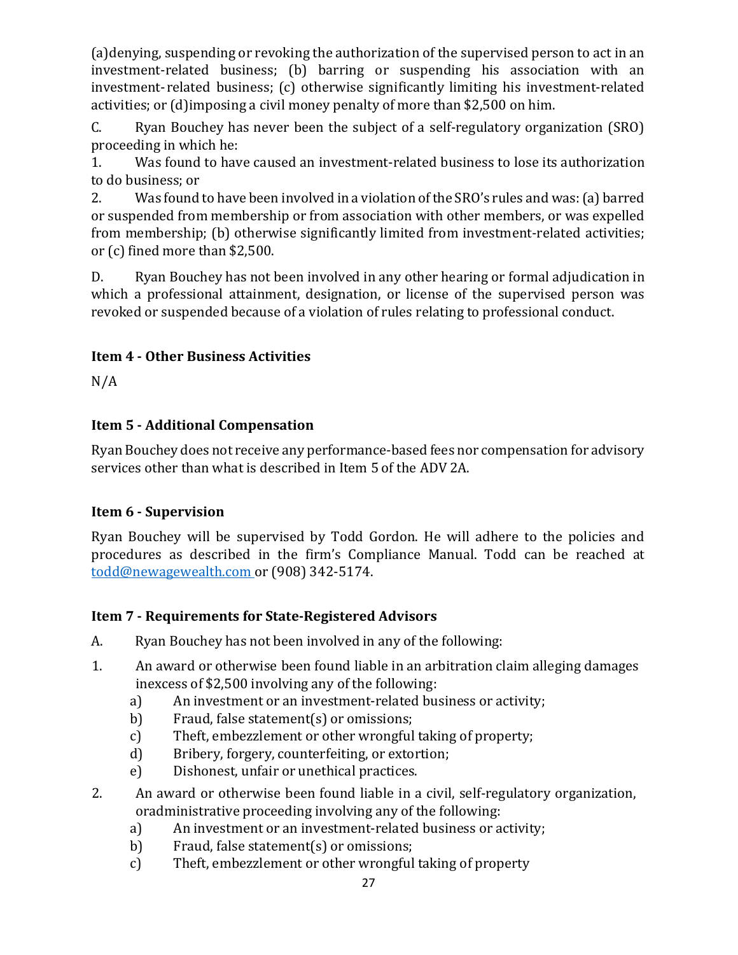(a)denying, suspending or revoking the authorization of the supervised person to act in an investment-related business; (b) barring or suspending his association with an investment- related business; (c) otherwise significantly limiting his investment-related activities; or (d) imposing a civil money penalty of more than \$2,500 on him.

C. Ryan Bouchey has never been the subject of a self-regulatory organization (SRO) proceeding in which he:

1. Was found to have caused an investment-related business to lose its authorization to do business; or

2. Was found to have been involved in a violation of the SRO's rules and was: (a) barred or suspended from membership or from association with other members, or was expelled from membership; (b) otherwise significantly limited from investment-related activities; or (c) fined more than \$2,500.

D. Ryan Bouchey has not been involved in any other hearing or formal adjudication in which a professional attainment, designation, or license of the supervised person was revoked or suspended because of a violation of rules relating to professional conduct.

## Item 4 - Other Business Activities

 $N/A$ 

### Item 5 - Additional Compensation

Ryan Bouchey does not receive any performance-based fees nor compensation for advisory services other than what is described in Item 5 of the ADV 2A.

## Item 6 - Supervision

Ryan Bouchey will be supervised by Todd Gordon. He will adhere to the policies and procedures as described in the firm's Compliance Manual. Todd can be reached at todd@newagewealth.com or (908) 342-5174.

## Item 7 - Requirements for State-Registered Advisors

- A. Ryan Bouchey has not been involved in any of the following:
- 1. An award or otherwise been found liable in an arbitration claim alleging damages in excess of \$2,500 involving any of the following:
	- a) An investment or an investment-related business or activity;
	- b) Fraud, false statement(s) or omissions;
	- c) Theft, embezzlement or other wrongful taking of property;
	- d) Bribery, forgery, counterfeiting, or extortion;
	- e) Dishonest, unfair or unethical practices.
- 2. An award or otherwise been found liable in a civil, self-regulatory organization, or administrative proceeding involving any of the following:
	- a) An investment or an investment-related business or activity;
	- b) Fraud, false statement(s) or omissions;
	- c) Theft, embezzlement or other wrongful taking of property